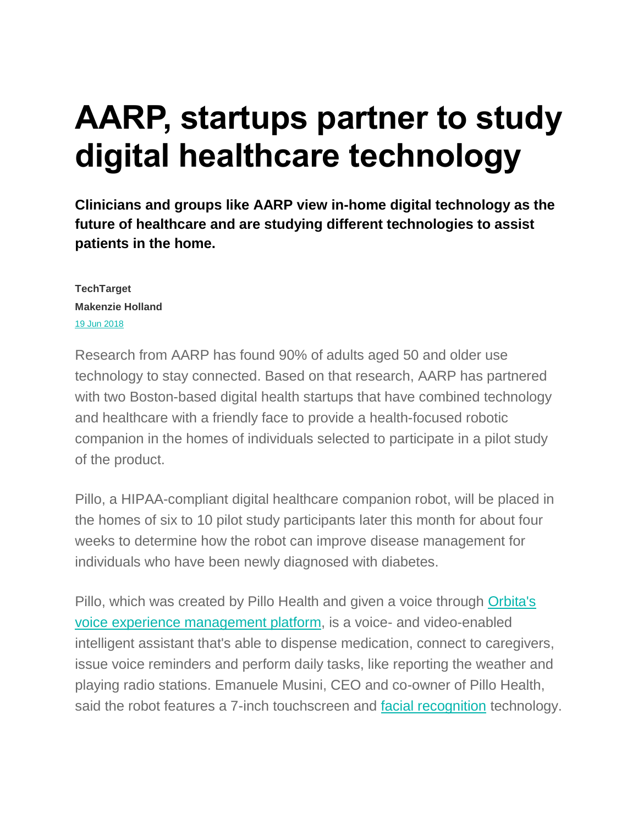# **AARP, startups partner to study digital healthcare technology**

**Clinicians and groups like AARP view in-home digital technology as the future of healthcare and are studying different technologies to assist patients in the home.**

**TechTarget Makenzie Holland** [19 Jun 2018](https://searchhealthit.techtarget.com/archive/2018/6)

Research from AARP has found 90% of adults aged 50 and older use technology to stay connected. Based on that research, AARP has partnered with two Boston-based digital health startups that have combined technology and healthcare with a friendly face to provide a health-focused robotic companion in the homes of individuals selected to participate in a pilot study of the product.

Pillo, a HIPAA-compliant digital healthcare companion robot, will be placed in the homes of six to 10 pilot study participants later this month for about four weeks to determine how the robot can improve disease management for individuals who have been newly diagnosed with diabetes.

Pillo, which was created by Pillo Health and given a voice through [Orbita's](https://searchhealthit.techtarget.com/news/252440740/Google-Fitbit-startups-storm-into-healthcare-AI)  [voice experience management platform,](https://searchhealthit.techtarget.com/news/252440740/Google-Fitbit-startups-storm-into-healthcare-AI) is a voice- and video-enabled intelligent assistant that's able to dispense medication, connect to caregivers, issue voice reminders and perform daily tasks, like reporting the weather and playing radio stations. Emanuele Musini, CEO and co-owner of Pillo Health, said the robot features a 7-inch touchscreen and [facial recognition](https://searchenterpriseai.techtarget.com/definition/facial-recognition) technology.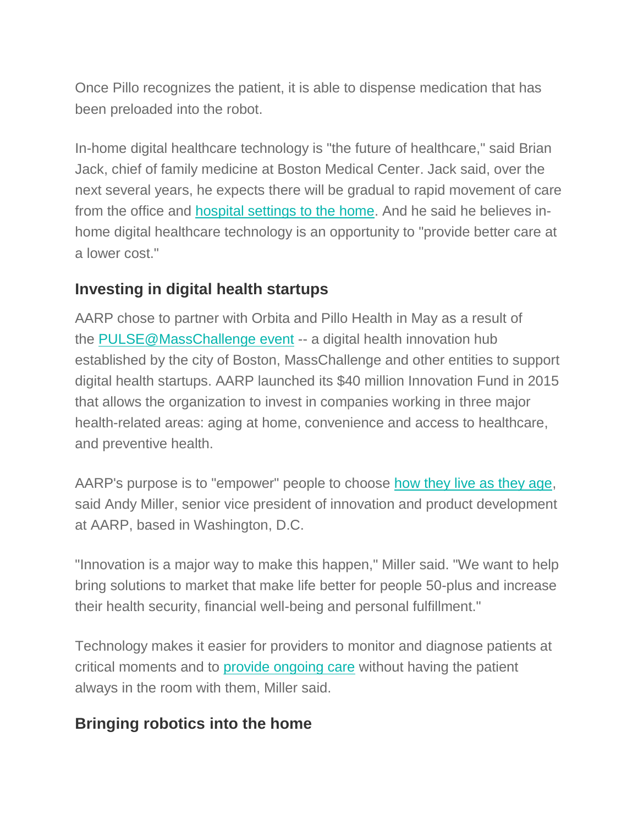Once Pillo recognizes the patient, it is able to dispense medication that has been preloaded into the robot.

In-home digital healthcare technology is "the future of healthcare," said Brian Jack, chief of family medicine at Boston Medical Center. Jack said, over the next several years, he expects there will be gradual to rapid movement of care from the office and [hospital settings to the home.](https://searchhealthit.techtarget.com/feature/Healthcare-tablets-pervasive-in-clinical-and-remote-monitoring-venues) And he said he believes inhome digital healthcare technology is an opportunity to "provide better care at a lower cost."

### **Investing in digital health startups**

AARP chose to partner with Orbita and Pillo Health in May as a result of the [PULSE@MassChallenge event](https://masschallenge.org/programs-pulse) -- a digital health innovation hub established by the city of Boston, MassChallenge and other entities to support digital health startups. AARP launched its \$40 million Innovation Fund in 2015 that allows the organization to invest in companies working in three major health-related areas: aging at home, convenience and access to healthcare, and preventive health.

AARP's purpose is to "empower" people to choose [how they live as they age,](https://searchhealthit.techtarget.com/news/450401523/Digital-health-technology-poised-to-help-an-aging-population) said Andy Miller, senior vice president of innovation and product development at AARP, based in Washington, D.C.

"Innovation is a major way to make this happen," Miller said. "We want to help bring solutions to market that make life better for people 50-plus and increase their health security, financial well-being and personal fulfillment."

Technology makes it easier for providers to monitor and diagnose patients at critical moments and to [provide ongoing care](https://searchhealthit.techtarget.com/photostory/450430071/Connected-medical-devices-seek-a-place-in-clinical-setting/4/Wearable-technologies-for-non-invasive-remote-patient-monitoring) without having the patient always in the room with them, Miller said.

## **Bringing robotics into the home**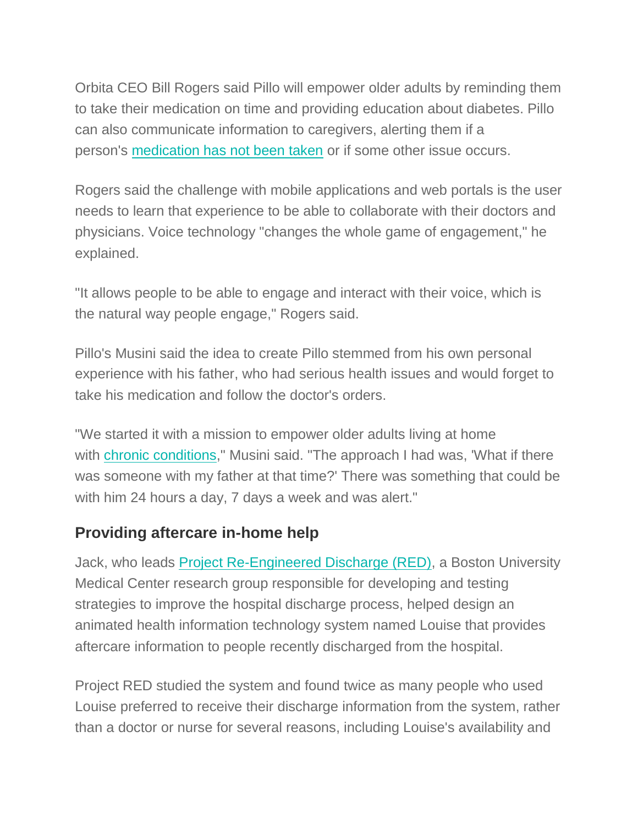Orbita CEO Bill Rogers said Pillo will empower older adults by reminding them to take their medication on time and providing education about diabetes. Pillo can also communicate information to caregivers, alerting them if a person's [medication has not been taken](https://searchhealthit.techtarget.com/photostory/450430067/Connected-medical-devices-seek-a-place-in-clinical-setting/1/Increasing-medication-adherence-via-sensored-pill-bottle) or if some other issue occurs.

Rogers said the challenge with mobile applications and web portals is the user needs to learn that experience to be able to collaborate with their doctors and physicians. Voice technology "changes the whole game of engagement," he explained.

"It allows people to be able to engage and interact with their voice, which is the natural way people engage," Rogers said.

Pillo's Musini said the idea to create Pillo stemmed from his own personal experience with his father, who had serious health issues and would forget to take his medication and follow the doctor's orders.

"We started it with a mission to empower older adults living at home with [chronic conditions,](https://searchhealthit.techtarget.com/video/Health-activation-care-coordination-platform-for-chronic-conditions)" Musini said. "The approach I had was, 'What if there was someone with my father at that time?' There was something that could be with him 24 hours a day, 7 days a week and was alert."

#### **Providing aftercare in-home help**

Jack, who leads [Project Re-Engineered Discharge \(RED\),](https://www.bu.edu/fammed/projectred/) a Boston University Medical Center research group responsible for developing and testing strategies to improve the hospital discharge process, helped design an animated health information technology system named Louise that provides aftercare information to people recently discharged from the hospital.

Project RED studied the system and found twice as many people who used Louise preferred to receive their discharge information from the system, rather than a doctor or nurse for several reasons, including Louise's availability and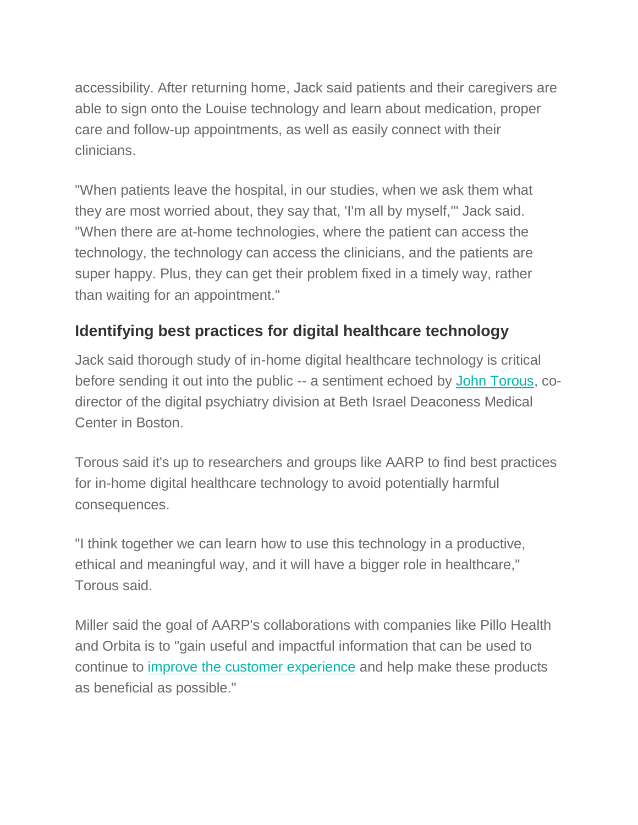accessibility. After returning home, Jack said patients and their caregivers are able to sign onto the Louise technology and learn about medication, proper care and follow-up appointments, as well as easily connect with their clinicians.

"When patients leave the hospital, in our studies, when we ask them what they are most worried about, they say that, 'I'm all by myself,'" Jack said. "When there are at-home technologies, where the patient can access the technology, the technology can access the clinicians, and the patients are super happy. Plus, they can get their problem fixed in a timely way, rather than waiting for an appointment."

## **Identifying best practices for digital healthcare technology**

Jack said thorough study of in-home digital healthcare technology is critical before sending it out into the public -- a sentiment echoed by [John Torous,](https://searchhealthit.techtarget.com/blog/Health-IT-Pulse/Digital-health-a-first-responder-for-behavioral-health-conditions) codirector of the digital psychiatry division at Beth Israel Deaconess Medical Center in Boston.

Torous said it's up to researchers and groups like AARP to find best practices for in-home digital healthcare technology to avoid potentially harmful consequences.

"I think together we can learn how to use this technology in a productive, ethical and meaningful way, and it will have a bigger role in healthcare," Torous said.

Miller said the goal of AARP's collaborations with companies like Pillo Health and Orbita is to "gain useful and impactful information that can be used to continue to [improve the customer experience](https://searchcio.techtarget.com/news/252433568/Patient-journey-propels-hospitals-digital-transformation) and help make these products as beneficial as possible."